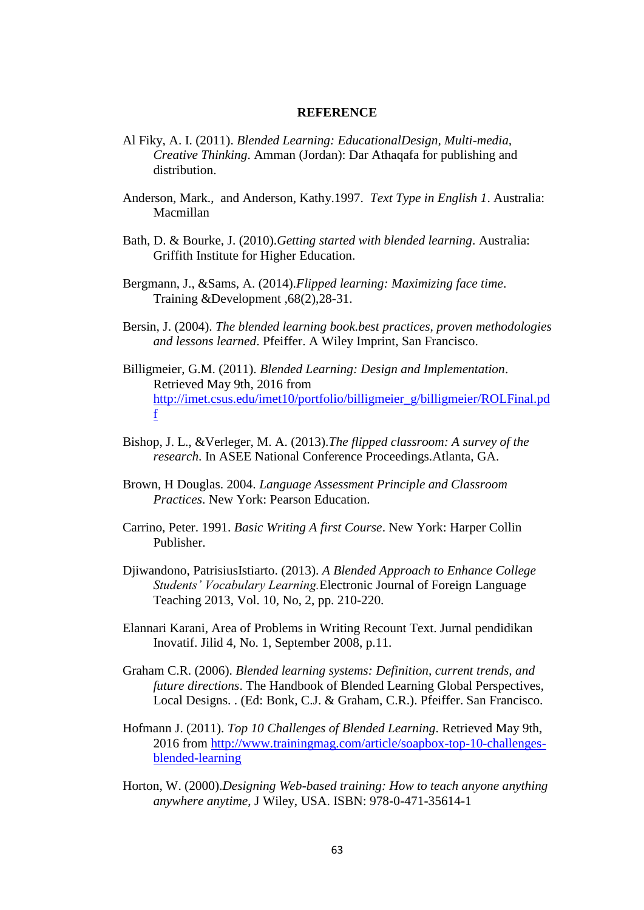## **REFERENCE**

- Al Fiky, A. I. (2011). *Blended Learning: EducationalDesign, Multi-media, Creative Thinking*. Amman (Jordan): Dar Athaqafa for publishing and distribution.
- Anderson, Mark., and Anderson, Kathy.1997. *Text Type in English 1*. Australia: Macmillan
- Bath, D. & Bourke, J. (2010).*Getting started with blended learning*. Australia: Griffith Institute for Higher Education.
- Bergmann, J., &Sams, A. (2014).*Flipped learning: Maximizing face time*. Training &Development ,68(2),28-31.
- Bersin, J. (2004). *The blended learning book.best practices, proven methodologies and lessons learned*. Pfeiffer. A Wiley Imprint, San Francisco.
- Billigmeier, G.M. (2011). *Blended Learning: Design and Implementation*. Retrieved May 9th, 2016 from [http://imet.csus.edu/imet10/portfolio/billigmeier\\_g/billigmeier/ROLFinal.pd](http://imet.csus.edu/imet10/portfolio/billigmeier_g/billigmeier/ROLFinal.pdf) [f](http://imet.csus.edu/imet10/portfolio/billigmeier_g/billigmeier/ROLFinal.pdf)
- Bishop, J. L., &Verleger, M. A. (2013).*The flipped classroom: A survey of the research*. In ASEE National Conference Proceedings.Atlanta, GA.
- Brown, H Douglas. 2004. *Language Assessment Principle and Classroom Practices*. New York: Pearson Education.
- Carrino, Peter. 1991. *Basic Writing A first Course*. New York: Harper Collin Publisher.
- Djiwandono, PatrisiusIstiarto. (2013). *A Blended Approach to Enhance College Students' Vocabulary Learning.*Electronic Journal of Foreign Language Teaching 2013, Vol. 10, No, 2, pp. 210-220.
- Elannari Karani, Area of Problems in Writing Recount Text. Jurnal pendidikan Inovatif. Jilid 4, No. 1, September 2008, p.11.
- Graham C.R. (2006). *Blended learning systems: Definition, current trends, and future directions*. The Handbook of Blended Learning Global Perspectives, Local Designs. . (Ed: Bonk, C.J. & Graham, C.R.). Pfeiffer. San Francisco.
- Hofmann J. (2011). *Top 10 Challenges of Blended Learning*. Retrieved May 9th, 2016 from [http://www.trainingmag.com/article/soapbox-top-10-challenges](http://www.trainingmag.com/article/soapbox-top-10-challenges-blended-learning)[blended-learning](http://www.trainingmag.com/article/soapbox-top-10-challenges-blended-learning)
- Horton, W. (2000).*Designing Web-based training: How to teach anyone anything anywhere anytime*, J Wiley, USA. ISBN: 978-0-471-35614-1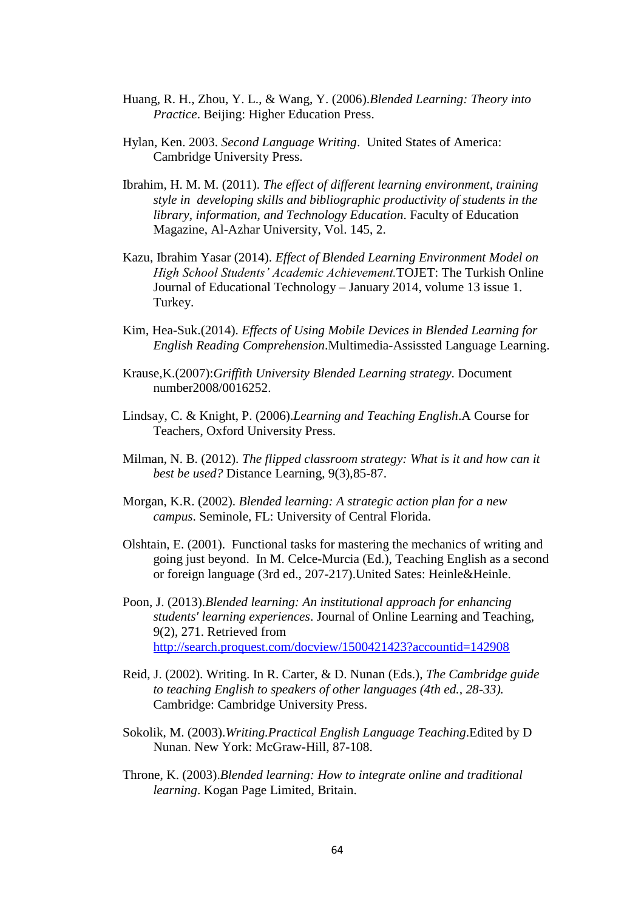- Huang, R. H., Zhou, Y. L., & Wang, Y. (2006).*Blended Learning: Theory into Practice*. Beijing: Higher Education Press.
- Hylan, Ken. 2003. *Second Language Writing*. United States of America: Cambridge University Press.
- Ibrahim, H. M. M. (2011). *The effect of different learning environment, training style in developing skills and bibliographic productivity of students in the library, information, and Technology Education*. Faculty of Education Magazine, Al-Azhar University, Vol. 145, 2.
- Kazu, Ibrahim Yasar (2014). *Effect of Blended Learning Environment Model on High School Students' Academic Achievement.*TOJET: The Turkish Online Journal of Educational Technology – January 2014, volume 13 issue 1. Turkey.
- Kim, Hea-Suk.(2014). *Effects of Using Mobile Devices in Blended Learning for English Reading Comprehension*.Multimedia-Assissted Language Learning.
- Krause,K.(2007):*Griffith University Blended Learning strategy*. Document number2008/0016252.
- Lindsay, C. & Knight, P. (2006).*Learning and Teaching English*.A Course for Teachers, Oxford University Press.
- Milman, N. B. (2012). *The flipped classroom strategy: What is it and how can it best be used?* Distance Learning, 9(3),85-87.
- Morgan, K.R. (2002). *Blended learning: A strategic action plan for a new campus*. Seminole, FL: University of Central Florida.
- Olshtain, E. (2001). Functional tasks for mastering the mechanics of writing and going just beyond. In M. Celce-Murcia (Ed.), Teaching English as a second or foreign language (3rd ed., 207-217).United Sates: Heinle&Heinle.
- Poon, J. (2013).*Blended learning: An institutional approach for enhancing students' learning experiences*. Journal of Online Learning and Teaching, 9(2), 271. Retrieved from <http://search.proquest.com/docview/1500421423?accountid=142908>
- Reid, J. (2002). Writing. In R. Carter, & D. Nunan (Eds.), *The Cambridge guide to teaching English to speakers of other languages (4th ed., 28-33).* Cambridge: Cambridge University Press.
- Sokolik, M. (2003).*Writing.Practical English Language Teaching*.Edited by D Nunan. New York: McGraw-Hill, 87-108.
- Throne, K. (2003).*Blended learning: How to integrate online and traditional learning*. Kogan Page Limited, Britain.